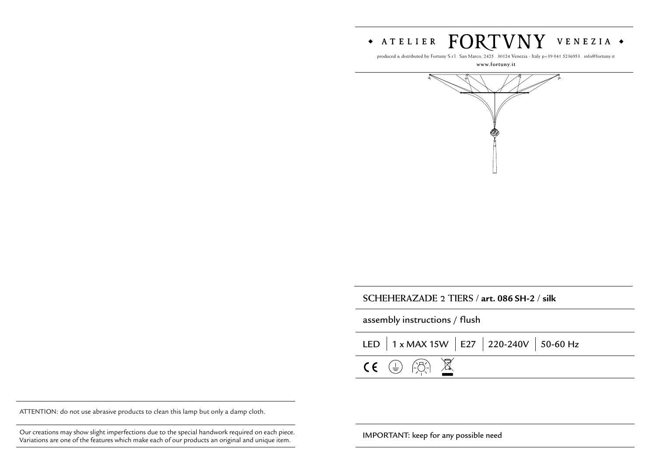#### FORTVNY  $\bullet$  ATELIER VENEZIA +

produced & distributed by Fortuny S.r.l. San Marco, 2425 . 30124 Venezia - Italy p+39 041 5236953 . info@fortuny.it

#### **www.fortuny.it**



# **SCHEHERAZADE 2 TIERS / art. 086 SH-2 / silk**

| assembly instructions / flush |                                               |  |  |  |  |
|-------------------------------|-----------------------------------------------|--|--|--|--|
|                               | LED   1 x MAX 15W   E27   220-240V   50-60 Hz |  |  |  |  |
|                               | $CE \oplus \ominus$                           |  |  |  |  |

ATTENTION: do not use abrasive products to clean this lamp but only a damp cloth.

Our creations may show slight imperfections due to the special handwork required on each piece.<br>Medicines was solid for the special handwork of present out on each piece in the special state of the special handwide in the Variations are one of the features which make each of our products an original and unique item.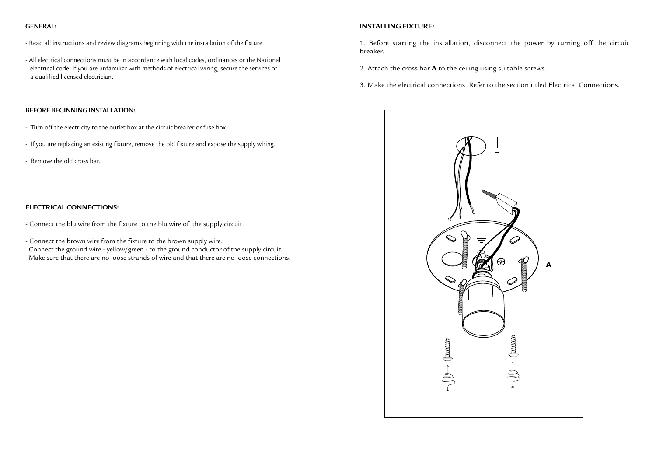## **GENERAL:**

- Read all instructions and review diagrams beginning with the installation of the fixture.
- All electrical connections must be in accordance with local codes, ordinances or the National electrical code. If you are unfamiliar with methods of electrical wiring, secure the services of a qualified licensed electrician.

## **BEFORE BEGINNING INSTALLATION:**

- Turn off the electricity to the outlet box at the circuit breaker or fuse box.
- If you are replacing an existing fixture, remove the old fixture and expose the supply wiring.
- Remove the old cross bar.

## **ELECTRICAL CONNECTIONS:**

- Connect the blu wire from the fixture to the blu wire of the supply circuit.
- Connect the brown wire from the fixture to the brown supply wire. Connect the ground wire - yellow/green - to the ground conductor of the supply circuit. Make sure that there are no loose strands of wire and that there are no loose connections.

## **INSTALLING FIXTURE:**

- 1. Before starting the installation, disconnect the power by turning off the circuit breaker.
- 2. Attach the cross bar **A** to the ceiling using suitable screws.
- 3. Make the electrical connections. Refer to the section titled Electrical Connections.

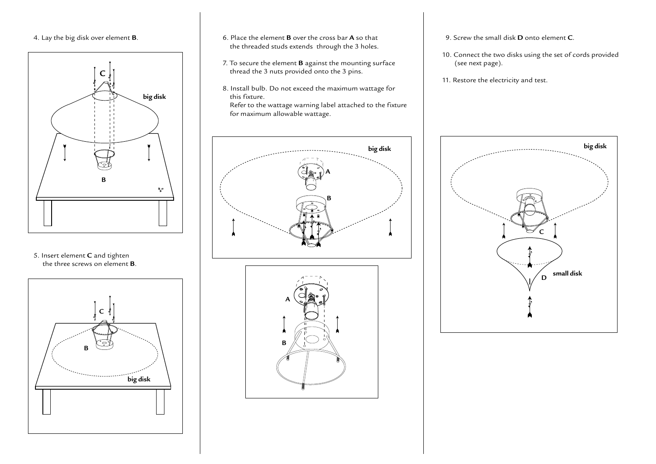# 4. Lay the big disk over element **B**.



5. Insert element **C** and tighten the three screws on element **B**.



- 6. Place the element **B** over the cross bar **A** so that the threaded studs extends through the 3 holes.
- 7. To secure the element **B** against the mounting surface thread the 3 nuts provided onto the 3 pins.
- 8. Install bulb. Do not exceed the maximum wattage for this fixture.

 Refer to the wattage warning label attached to the fixture for maximum allowable wattage.





- 9. Screw the small disk **D** onto element **C**.
- 10. Connect the two disks using the set of cords provided (see next page).
- 11. Restore the electricity and test.